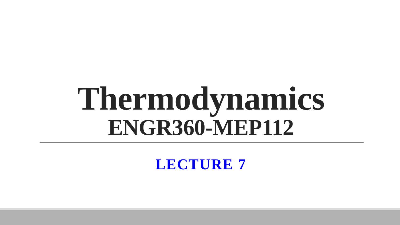# **Thermodynamics ENGR360-MEP112**

**LECTURE 7**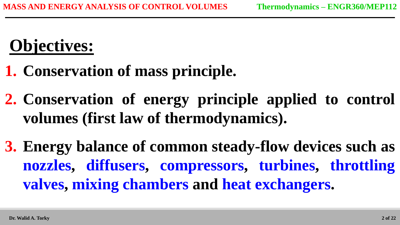## **Objectives:**

- **1. Conservation of mass principle.**
- **2. Conservation of energy principle applied to control volumes (first law of thermodynamics).**
- **3. Energy balance of common steady-flow devices such as nozzles, diffusers, compressors, turbines, throttling valves, mixing chambers and heat exchangers.**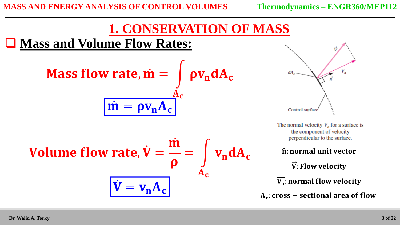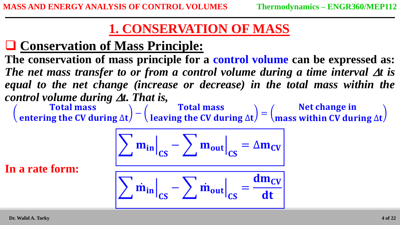### **1. CONSERVATION OF MASS**

### **Conservation of Mass Principle:**

**The conservation of mass principle for a control volume can be expressed as:**  The net mass transfer to or from a control volume during a time interval  $\Delta t$  is equal to the net change (increase or decrease) in the total mass within the *control volume during t. That is,*

**Total mass** entering the CV during ∆t − **Total mass** leaving the CV during ∆t = Net change in mass within CV during ∆t

$$
\sum m_{in}\Big|_{CS} - \sum m_{out}\Big|_{CS} = \Delta m_{CV}
$$

**In a rate form:**

$$
\sum \dot{m}_{in} \Big|_{CS} - \sum \dot{m}_{out} \Big|_{CS} = \frac{dm_{CV}}{dt}
$$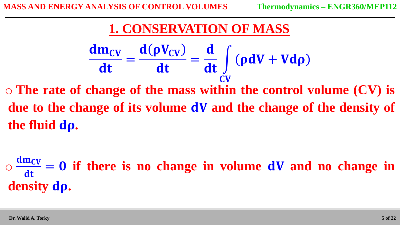### **1. CONSERVATION OF MASS**

$$
\frac{dm_{CV}}{dt} = \frac{d(\rho V_{CV})}{dt} = \frac{d}{dt} \int_{CV} (\rho dV + V d\rho)
$$

o **The rate of change of the mass within the control volume (CV) is due to the change of its volume dV and the change of the density of the fluid .**

o dmcv dt  $= 0$  if there is no change in volume **dV** and no change in **density .**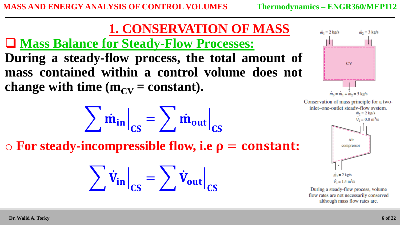

**During a steady-flow process, the total amount of mass contained within a control volume does not change with time**  $(m_{CV} = constant)$ **.** 

$$
\sum \dot{m}_{in}\Big|_{CS} = \sum \dot{m}_{out}\Big|_{CS}
$$

 $\circ$  For steady-incompressible flow, i.e  $\rho$  = constant:

$$
\sum \dot{V}_{in}\Big|_{CS} = \sum \dot{V}_{out}\Big|_{CS}
$$



Conservation of mass principle for a twoinlet-one-outlet steady-flow system.  $\dot{m}_2 = 2$  kg/s  $V_2 = 0.8$  m<sup>3</sup>/s Air compressor  $m_1 = 2 \text{ kg/s}$  $V_1 = 1.4$  m<sup>3</sup>/s

During a steady-flow process, volume flow rates are not necessarily conserved although mass flow rates are.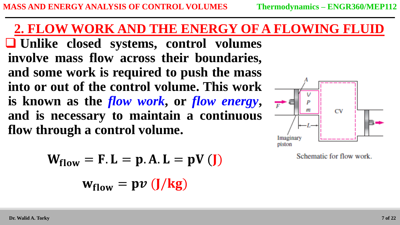### **2. FLOW WORK AND THE ENERGY OF A FLOWING FLUID**

 **Unlike closed systems, control volumes involve mass flow across their boundaries, and some work is required to push the mass into or out of the control volume. This work is known as the** *flow work***, or** *flow energy***, and is necessary to maintain a continuous flow through a control volume.**

$$
W_{flow} = F.L = p.A.L = pV(J)
$$
  

$$
w_{flow} = p v (J/kg)
$$



Schematic for flow work.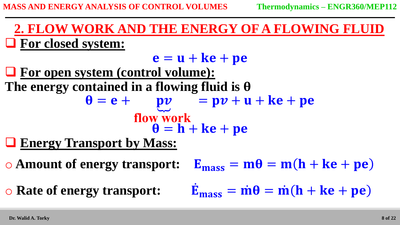**For closed system: 2. FLOW WORK AND THE ENERGY OF A FLOWING FLUID**

 $e = u + k e + p e$  **For open system (control volume): The energy contained in a flowing fluid is**   $\theta = e +$  $pv = pv + u + ke + pe$ **flow work**  $\theta = h + k e + p e$ 

**Energy Transport by Mass:** 

 $\circ$  Amount of energy transport:

 $\circ$  **Rate of energy transport:** 

$$
E_{mass} = m\theta = m(h + ke + pe)
$$

$$
\dot{E}_{\text{mass}} = \dot{m}\theta = \dot{m}(h + ke + pe)
$$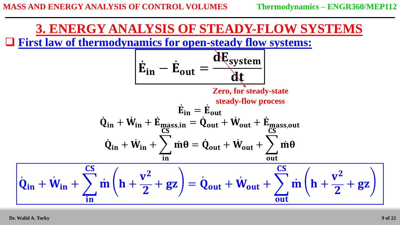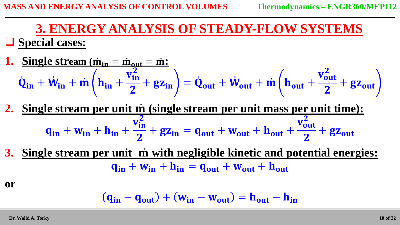#### **Special cases: 3. ENERGY ANALYSIS OF STEADY-FLOW SYSTEMS**

1. Single stream 
$$
(\dot{m}_{in} = \dot{m}_{out} = \dot{m}i
$$
  
\n $\dot{Q}_{in} + \dot{W}_{in} + \dot{m} \left( h_{in} + \frac{v_{in}^2}{2} + gz_{in} \right) = \dot{Q}_{out} + \dot{W}_{out} + \dot{m} \left( h_{out} + \frac{v_{out}^2}{2} + gz_{out} \right)$ 

- **2. Single stream per unit (single stream per unit mass per unit time):**  $q_{in} + w_{in} + h_{in} +$  $\overline{\mathbf{v_{in}^2}}$  $\overline{\mathbf{2}}$  $+ g z_{in} = q_{out} + w_{out} + h_{out} +$  $\overline{\mathbf{v_{out}^2}}$  $\overline{\mathbf{2}}$  $+$   $g_{\text{Z}_{\text{out}}}$
- **<u>Single stream per unit in with negligible kinetic and potential energies:</u>**  $\mathbf{q}_{\text{in}} + \mathbf{w}_{\text{in}} + \mathbf{h}_{\text{in}} = \mathbf{q}_{\text{out}} + \mathbf{w}_{\text{out}} + \mathbf{h}_{\text{out}}$

**or**

$$
(\mathbf{q}_{in} - \mathbf{q}_{out}) + (\mathbf{w}_{in} - \mathbf{w}_{out}) = \mathbf{h}_{out} - \mathbf{h}_{in}
$$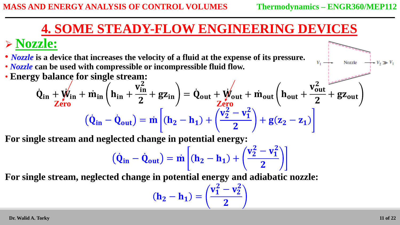### **Nozzle:**

- *Nozzle* **is a device that increases the velocity of a fluid at the expense of its pressure.**
- *Nozzle* **can be used with compressible or incompressible fluid flow.**
- **Energy balance for single stream:**

$$
\dot{Q}_{in} + \dot{W}_{in} + \dot{m}_{in} \left( h_{in} + \frac{v_{in}^2}{2} + gz_{in} \right) = \dot{Q}_{out} + \dot{W}_{out} + \dot{m}_{out} \left( h_{out} + \frac{v_{out}^2}{2} + gz_{out} \right)
$$

$$
(\dot{Q}_{in} - \dot{Q}_{out}) = \dot{m} \left[ (h_2 - h_1) + \left( \frac{v_2^2 - v_1^2}{2} \right) + g(z_2 - z_1) \right]
$$

**For single stream and neglected change in potential energy:**

$$
\left( \dot{Q}_{in} - \dot{Q}_{out} \right) = \dot{m} \left[ (h_2 - h_1) + \binom{v_2^2 - v_1^2}{2} \right]
$$

**For single stream, neglected change in potential energy and adiabatic nozzle:**

$$
(h_2 - h_1) = \left(\frac{v_1^2 - v_2^2}{2}\right)
$$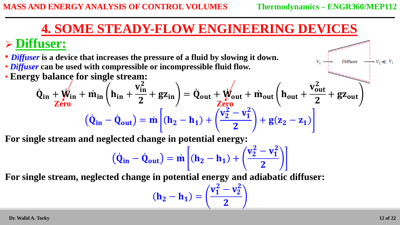Diffuser

### **4. SOME STEADY-FLOW ENGINEERING DEVICES**

### **Diffuser:**

• *Diffuser* **is a device that increases the pressure of a fluid by slowing it down.** • *Diffuser* **can be used with compressible or incompressible fluid flow.**

• **Energy balance for single stream:**

$$
\dot{Q}_{in} + \dot{W}_{in} + \dot{m}_{in} \left( h_{in} + \frac{v_{in}^2}{2} + gz_{in} \right) = \dot{Q}_{out} + \dot{W}_{out} + \dot{m}_{out} \left( h_{out} + \frac{v_{out}^2}{2} + gz_{out} \right)
$$

$$
(\dot{Q}_{in} - \dot{Q}_{out}) = \dot{m} \left[ (h_2 - h_1) + \left( \frac{v_2^2 - v_1^2}{2} \right) + g(z_2 - z_1) \right]
$$

**For single stream and neglected change in potential energy:**

$$
\left( \dot{Q}_{in} - \dot{Q}_{out} \right) = \dot{m} \left[ (h_2 - h_1) + \left( \frac{v_2^2 - v_1^2}{2} \right) \right]
$$

**For single stream, neglected change in potential energy and adiabatic diffuser:**

$$
(h_2 - h_1) = \left(\frac{v_1^2 - v_2^2}{2}\right)
$$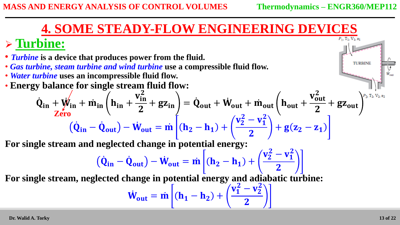**TURBINE** 

### **4. SOME STEADY-FLOW ENGINEERING DEVICES**

### **Turbine:**

- *Turbine* **is a device that produces power from the fluid.**
- *Gas turbine, steam turbine and wind turbine* **use a compressible fluid flow.**
- *Water turbine* **uses an incompressible fluid flow.**
- **Energy balance for single stream fluid flow:**

$$
\dot{Q}_{in} + \dot{W}_{in} + \dot{m}_{in} \left( h_{in} + \frac{v_{in}^2}{2} + gz_{in} \right) = \dot{Q}_{out} + \dot{W}_{out} + \dot{m}_{out} \left( h_{out} + \frac{v_{out}^2}{2} + gz_{out} \right)^{P_2 T_2 V_{2,2}} \n\left( \dot{Q}_{in} - \dot{Q}_{out} \right) - \dot{W}_{out} = \dot{m} \left[ (h_2 - h_1) + \left( \frac{v_2^2 - v_1^2}{2} \right) + g(z_2 - z_1) \right]
$$

**For single stream and neglected change in potential energy:**

$$
(\dot{Q}_{in} - \dot{Q}_{out}) - \dot{W}_{out} = \dot{m} \left[ (\mathbf{h}_2 - \mathbf{h}_1) + \left( \frac{v_2^2 - v_1^2}{2} \right) \right]
$$

**For single stream, neglected change in potential energy and adiabatic turbine:**

$$
\dot{W}_{out} = \dot{m} \left[ (\mathbf{h}_1 - \mathbf{h}_2) + \left( \frac{v_1^2 - v_2^2}{2} \right) \right]
$$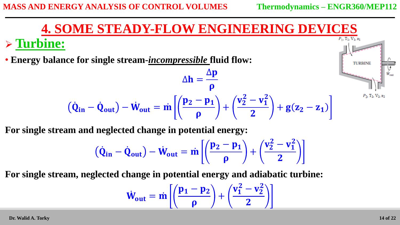#### **4. SOME STEADY-FLOW ENGINEERING DEVICES Turbine:** • **Energy balance for single stream-***incompressible* **fluid flow: TURBINE**  $\Delta \mathbf{p}$  $\Delta h =$  $\boldsymbol{\rho}$  $v_2^2 - v_1^2$  $P_2$ ,  $T_2$ ,  $V_2$ ,  $z_1$  $\mathbf{p}_2-\mathbf{p}_1$  $\dot{\mathbf{Q}}_{in} - \dot{\mathbf{Q}}_{out}$  –  $\dot{\mathbf{W}}_{out} = \dot{\mathbf{m}}$ +  $+ g(z_2 - z_1)$  $\boldsymbol{\rho}$  $\overline{\mathbf{2}}$

**For single stream and neglected change in potential energy:**

$$
\left(\dot{Q}_{in}-\dot{Q}_{out}\right)-\dot{W}_{out}=\dot{m}\left[\left(\frac{p_2-p_1}{\rho}\right)+\left(\frac{v_2^2-v_1^2}{2}\right)\right]
$$

**For single stream, neglected change in potential energy and adiabatic turbine:**

$$
\dot{W}_{out} = \dot{m} \left[ \left( \frac{p_1 - p_2}{\rho} \right) + \left( \frac{v_1^2 - v_2^2}{2} \right) \right]
$$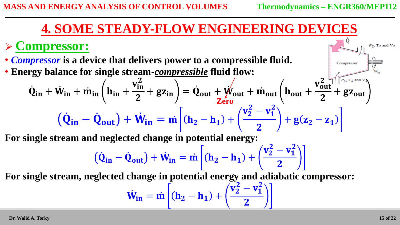Compressor

#### $\dot{\mathbf{Q}}$ **4. SOME STEADY-FLOW ENGINEERING DEVICES**

### **Compressor:**

 $\dot{\mathbf{Q}}$ 

• *Compressor* **is a device that delivers power to a compressible fluid.**

• **Energy balance for single stream-***compressible* **fluid flow:**

$$
i_{n} + \dot{W}_{in} + \dot{m}_{in} \left( h_{in} + \frac{v_{in}^{2}}{2} + g z_{in} \right) = \dot{Q}_{out} + \dot{W}_{out} + \dot{m}_{out} \left( h_{out} + \frac{v_{out}^{2} + f f_{out}}{2} + g z_{out} \right)
$$

$$
(\dot{Q}_{in} - \dot{Q}_{out}) + \dot{W}_{in} = \dot{m} \left[ (h_{2} - h_{1}) + \left( \frac{v_{2}^{2} - v_{1}^{2}}{2} \right) + g(z_{2} - z_{1}) \right]
$$

**For single stream and neglected change in potential energy:**

$$
\left( \dot{Q}_{in} - \dot{Q}_{out} \right) + \dot{W}_{in} = \dot{m} \left[ (h_2 - h_1) + \left( \frac{v_2^2 - v_1^2}{2} \right) \right]
$$

**For single stream, neglected change in potential energy and adiabatic compressor:**

$$
\dot{W}_{in} = \dot{m} \left[ (\mathbf{h}_2 - \mathbf{h}_1) + \left( \frac{v_2^2 - v_1^2}{2} \right) \right]
$$

 $P_2$ ,  $T_2$  and  $V_2$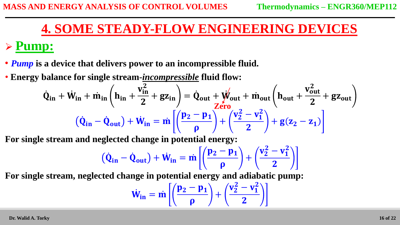### **Pump:**

 $Q_i$ 

- *Pump* **is a device that delivers power to an incompressible fluid.**
- **Energy balance for single stream-***incompressible* **fluid flow:**

$$
i_{n} + \dot{W}_{in} + \dot{m}_{in} \left( h_{in} + \frac{v_{in}^{2}}{2} + gz_{in} \right) = \dot{Q}_{out} + \dot{W}_{out} + \dot{m}_{out} \left( h_{out} + \frac{v_{out}^{2}}{2} + gz_{out} \right)
$$

$$
(\dot{Q}_{in} - \dot{Q}_{out}) + \dot{W}_{in} = \dot{m} \left[ \left( \frac{p_{2} - p_{1}}{\rho} \right) + \left( \frac{v_{2}^{2} - v_{1}^{2}}{2} \right) + g(z_{2} - z_{1}) \right]
$$

**For single stream and neglected change in potential energy:**

$$
\left(\dot{Q}_{in}-\dot{Q}_{out}\right)+\dot{W}_{in}=\dot{m}\left[\left(\frac{p_2-p_1}{\rho}\right)+\left(\frac{v_2^2-v_1^2}{2}\right)\right]
$$

**For single stream, neglected change in potential energy and adiabatic pump:**

$$
\dot{W}_{in}=\dot{m}\left[\left(\frac{p_2-p_1}{\rho}\right)+\left(\frac{v_2^2-v_1^2}{2}\right)\right]
$$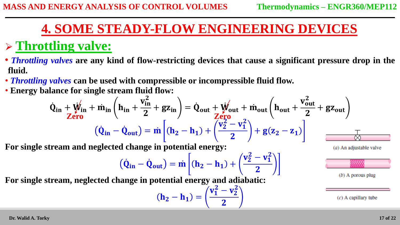### **Throttling valve:**

- *Throttling valves* **are any kind of flow-restricting devices that cause a significant pressure drop in the fluid.**
- *Throttling valves* **can be used with compressible or incompressible fluid flow.**
- **Energy balance for single stream fluid flow:**

$$
\dot{Q}_{in} + \dot{W}_{in} + \dot{m}_{in} \left( h_{in} + \frac{v_{in}^2}{2} + gz_{in} \right) = \dot{Q}_{out} + \dot{W}_{out} + \dot{m}_{out} \left( h_{out} + \frac{v_{out}^2}{2} + gz_{out} \right)
$$
\n
$$
(\dot{Q}_{in} - \dot{Q}_{out}) = \dot{m} \left[ (h_2 - h_1) + \left( \frac{v_2^2 - v_1^2}{2} \right) + g(z_2 - z_1) \right]
$$

 $v_1^2 - v_2^2$ 

 $\overline{\mathbf{2}}$ 

**For single stream and neglected change in potential energy:**

$$
(\dot{\mathbf{Q}}_{in} - \dot{\mathbf{Q}}_{out}) = \dot{m} \left[ (\mathbf{h}_2 - \mathbf{h}_1) + \left( \frac{v_2^2 - v_1^2}{2} \right) \right]
$$

**) =** 





 $(b)$  A porous plug

 $(c)$  A capillary tube

**For single stream, neglected change in potential energy and adiabatic:**

**Dr. Walid A. Torky**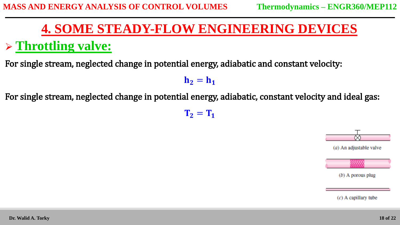### **Throttling valve:**

For single stream, neglected change in potential energy, adiabatic and constant velocity:

 $h_2 = h_1$ 

For single stream, neglected change in potential energy, adiabatic, constant velocity and ideal gas:

 $\mathbf{T}_2 = \mathbf{T}_1$ 



 $(b)$  A porous plug

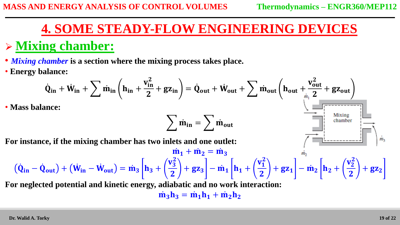### **Mixing chamber:**

• *Mixing chamber* **is a section where the mixing process takes place.**

• **Energy balance:**

$$
\dot{Q}_{in} + \dot{W}_{in} + \sum \dot{m}_{in} \left( h_{in} + \frac{v_{in}^2}{2} + gz_{in} \right) = \dot{Q}_{out} + \dot{W}_{out} + \sum \dot{m}_{out} \left( h_{out} + \frac{v_{out}^2}{2} + gz_{out} \right)
$$
  
\n\* Mass balance:  
\nFor instance, if the mixing chamber has two inlets and one outlet:  
\n
$$
\dot{m}_1 + \dot{m}_2 = \dot{m}_3
$$
\n
$$
(\dot{Q}_{in} - \dot{Q}_{out}) + (\dot{W}_{in} - \dot{W}_{out}) = \dot{m}_3 \left[ h_3 + \left( \frac{v_3^2}{2} \right) + gz_3 \right] - \dot{m}_1 \left[ h_1 + \left( \frac{v_1^2}{2} \right) + gz_1 \right] - \dot{m}_2 \left[ h_2 + \left( \frac{v_2^2}{2} \right) + gz_2 \right]
$$
  
\nFor neglected potential and kinetic energy, adiabatic and no work interaction:

 $\dot{m}_3 h_3 = \dot{m}_1 h_1 + \dot{m}_2 h_2$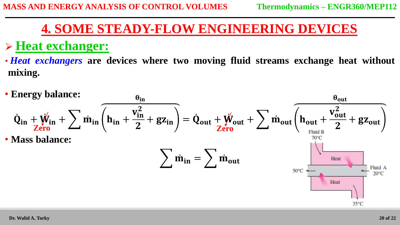### **Heat exchanger:**

• *Heat exchangers* **are devices where two moving fluid streams exchange heat without mixing.**

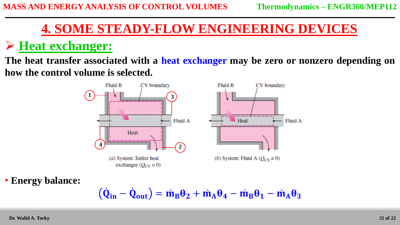### **Heat exchanger:**

**The heat transfer associated with a heat exchanger may be zero or nonzero depending on how the control volume is selected.**



• **Energy balance:**

$$
(\dot{\mathbf{Q}}_{in} - \dot{\mathbf{Q}}_{out}) = \dot{m}_B \theta_2 + \dot{m}_A \theta_4 - \dot{m}_B \theta_1 - \dot{m}_A \theta_3
$$